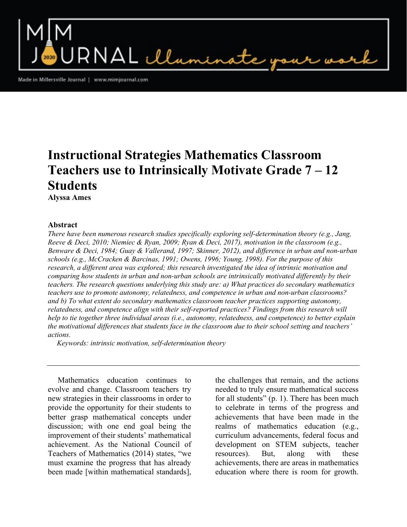RNAL illumin

Made in Millersville Journal | www.mimjournal.com

# Instructional Strategies Mathematics Classroom Teachers use to Intrinsically Motivate Grade  $7-12$ **Students**

Alyssa Ames

#### Abstract

There have been numerous research studies specifically exploring self-determination theory (e.g., Jang, Reeve & Deci, 2010; Niemiec & Ryan, 2009; Ryan & Deci, 2017), motivation in the classroom (e.g., Benware & Deci, 1984; Guay & Vallerand, 1997; Skinner, 2012), and difference in urban and non-urban schools (e.g., McCracken & Barcinas, 1991; Owens, 1996; Young, 1998). For the purpose of this research, a different area was explored; this research investigated the idea of intrinsic motivation and comparing how students in urban and non-urban schools are intrinsically motivated differently by their teachers. The research questions underlying this study are: a) What practices do secondary mathematics teachers use to promote autonomy, relatedness, and competence in urban and non-urban classrooms? and b) To what extent do secondary mathematics classroom teacher practices supporting autonomy, relatedness, and competence align with their self-reported practices? Findings from this research will help to tie together three individual areas (i.e., autonomy, relatedness, and competence) to better explain the motivational differences that students face in the classroom due to their school setting and teachers' actions.

Keywords: intrinsic motivation, self-determination theory

 Mathematics education continues to evolve and change. Classroom teachers try new strategies in their classrooms in order to provide the opportunity for their students to better grasp mathematical concepts under discussion; with one end goal being the improvement of their students' mathematical achievement. As the National Council of Teachers of Mathematics (2014) states, "we must examine the progress that has already been made [within mathematical standards],

the challenges that remain, and the actions needed to truly ensure mathematical success for all students" (p. 1). There has been much to celebrate in terms of the progress and achievements that have been made in the realms of mathematics education (e.g., curriculum advancements, federal focus and development on STEM subjects, teacher resources). But, along with these achievements, there are areas in mathematics education where there is room for growth.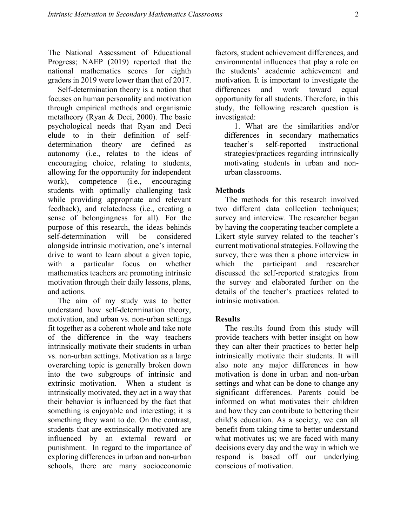The National Assessment of Educational Progress; NAEP (2019) reported that the national mathematics scores for eighth graders in 2019 were lower than that of 2017.

 Self-determination theory is a notion that focuses on human personality and motivation through empirical methods and organismic metatheory (Ryan & Deci, 2000). The basic psychological needs that Ryan and Deci elude to in their definition of selfdetermination theory are defined as autonomy (i.e., relates to the ideas of encouraging choice, relating to students, allowing for the opportunity for independent work), competence (i.e., encouraging students with optimally challenging task while providing appropriate and relevant feedback), and relatedness (i.e., creating a sense of belongingness for all). For the purpose of this research, the ideas behinds self-determination will be considered alongside intrinsic motivation, one's internal drive to want to learn about a given topic, with a particular focus on whether mathematics teachers are promoting intrinsic motivation through their daily lessons, plans, and actions.

 The aim of my study was to better understand how self-determination theory, motivation, and urban vs. non-urban settings fit together as a coherent whole and take note of the difference in the way teachers intrinsically motivate their students in urban vs. non-urban settings. Motivation as a large overarching topic is generally broken down into the two subgroups of intrinsic and extrinsic motivation. When a student is intrinsically motivated, they act in a way that their behavior is influenced by the fact that something is enjoyable and interesting; it is something they want to do. On the contrast, students that are extrinsically motivated are influenced by an external reward or punishment. In regard to the importance of exploring differences in urban and non-urban schools, there are many socioeconomic

factors, student achievement differences, and environmental influences that play a role on the students' academic achievement and motivation. It is important to investigate the differences and work toward equal opportunity for all students. Therefore, in this study, the following research question is investigated:

 1. What are the similarities and/or differences in secondary mathematics teacher's self-reported instructional strategies/practices regarding intrinsically motivating students in urban and nonurban classrooms.

## **Methods**

 The methods for this research involved two different data collection techniques; survey and interview. The researcher began by having the cooperating teacher complete a Likert style survey related to the teacher's current motivational strategies. Following the survey, there was then a phone interview in which the participant and researcher discussed the self-reported strategies from the survey and elaborated further on the details of the teacher's practices related to intrinsic motivation.

## **Results**

 The results found from this study will provide teachers with better insight on how they can alter their practices to better help intrinsically motivate their students. It will also note any major differences in how motivation is done in urban and non-urban settings and what can be done to change any significant differences. Parents could be informed on what motivates their children and how they can contribute to bettering their child's education. As a society, we can all benefit from taking time to better understand what motivates us; we are faced with many decisions every day and the way in which we respond is based off our underlying conscious of motivation.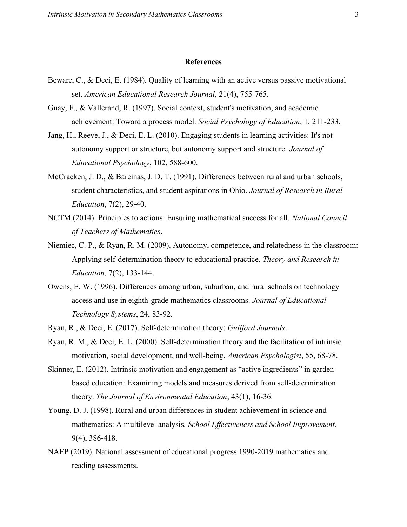#### References

- Beware, C., & Deci, E. (1984). Quality of learning with an active versus passive motivational set. American Educational Research Journal, 21(4), 755-765.
- Guay, F., & Vallerand, R. (1997). Social context, student's motivation, and academic achievement: Toward a process model. Social Psychology of Education, 1, 211-233.
- Jang, H., Reeve, J., & Deci, E. L. (2010). Engaging students in learning activities: It's not autonomy support or structure, but autonomy support and structure. Journal of Educational Psychology, 102, 588-600.
- McCracken, J. D., & Barcinas, J. D. T. (1991). Differences between rural and urban schools, student characteristics, and student aspirations in Ohio. Journal of Research in Rural Education, 7(2), 29-40.
- NCTM (2014). Principles to actions: Ensuring mathematical success for all. National Council of Teachers of Mathematics.
- Niemiec, C. P., & Ryan, R. M. (2009). Autonomy, competence, and relatedness in the classroom: Applying self-determination theory to educational practice. Theory and Research in Education, 7(2), 133-144.
- Owens, E. W. (1996). Differences among urban, suburban, and rural schools on technology access and use in eighth-grade mathematics classrooms. Journal of Educational Technology Systems, 24, 83-92.
- Ryan, R., & Deci, E. (2017). Self-determination theory: Guilford Journals.
- Ryan, R. M., & Deci, E. L. (2000). Self-determination theory and the facilitation of intrinsic motivation, social development, and well-being. American Psychologist, 55, 68-78.
- Skinner, E. (2012). Intrinsic motivation and engagement as "active ingredients" in gardenbased education: Examining models and measures derived from self-determination theory. The Journal of Environmental Education, 43(1), 16-36.
- Young, D. J. (1998). Rural and urban differences in student achievement in science and mathematics: A multilevel analysis. School Effectiveness and School Improvement, 9(4), 386-418.
- NAEP (2019). National assessment of educational progress 1990-2019 mathematics and reading assessments.